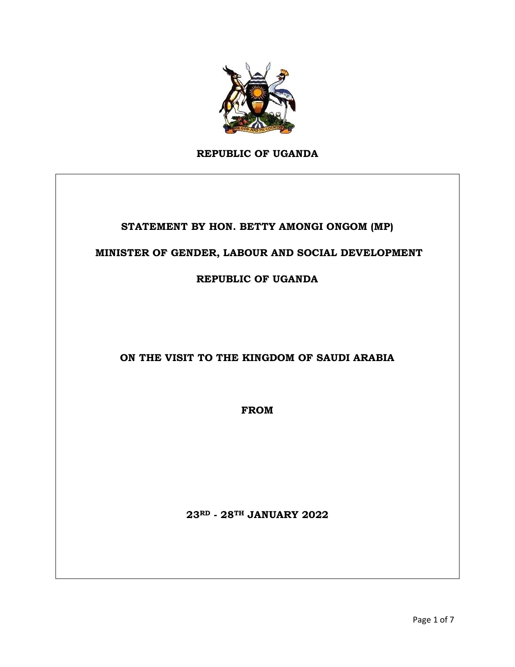

**REPUBLIC OF UGANDA**

### **STATEMENT BY HON. BETTY AMONGI ONGOM (MP)**

#### **MINISTER OF GENDER, LABOUR AND SOCIAL DEVELOPMENT**

**REPUBLIC OF UGANDA** 

**ON THE VISIT TO THE KINGDOM OF SAUDI ARABIA**

**FROM** 

**23RD - 28TH JANUARY 2022**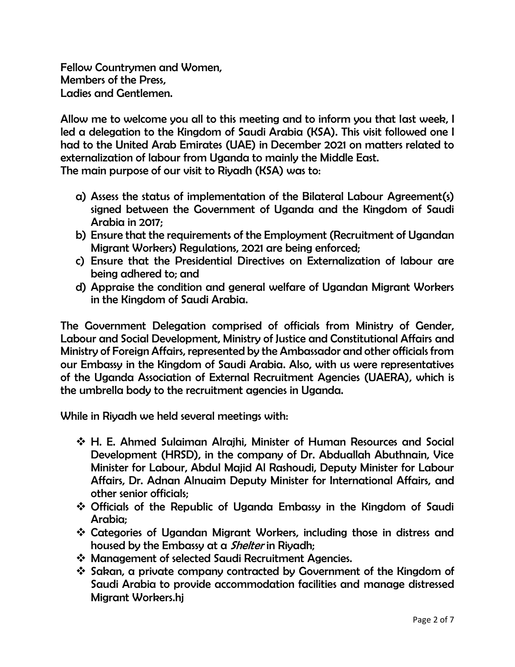Fellow Countrymen and Women, Members of the Press, Ladies and Gentlemen.

Allow me to welcome you all to this meeting and to inform you that last week, I led a delegation to the Kingdom of Saudi Arabia (KSA). This visit followed one I had to the United Arab Emirates (UAE) in December 2021 on matters related to externalization of labour from Uganda to mainly the Middle East.

The main purpose of our visit to Riyadh (KSA) was to:

- a) Assess the status of implementation of the Bilateral Labour Agreement(s) signed between the Government of Uganda and the Kingdom of Saudi Arabia in 2017;
- b) Ensure that the requirements of the Employment (Recruitment of Ugandan Migrant Workers) Regulations, 2021 are being enforced;
- c) Ensure that the Presidential Directives on Externalization of labour are being adhered to; and
- d) Appraise the condition and general welfare of Ugandan Migrant Workers in the Kingdom of Saudi Arabia.

The Government Delegation comprised of officials from Ministry of Gender, Labour and Social Development, Ministry of Justice and Constitutional Affairs and Ministry of Foreign Affairs, represented by the Ambassador and other officials from our Embassy in the Kingdom of Saudi Arabia. Also, with us were representatives of the Uganda Association of External Recruitment Agencies (UAERA), which is the umbrella body to the recruitment agencies in Uganda.

While in Riyadh we held several meetings with:

- ❖ H. E. Ahmed Sulaiman Alrajhi, Minister of Human Resources and Social Development (HRSD), in the company of Dr. Abduallah Abuthnain, Vice Minister for Labour, Abdul Majid Al Rashoudi, Deputy Minister for Labour Affairs, Dr. Adnan Alnuaim Deputy Minister for International Affairs, and other senior officials;
- ❖ Officials of the Republic of Uganda Embassy in the Kingdom of Saudi Arabia;
- ❖ Categories of Ugandan Migrant Workers, including those in distress and housed by the Embassy at a *Shelter* in Riyadh;
- ❖ Management of selected Saudi Recruitment Agencies.
- ❖ Sakan, a private company contracted by Government of the Kingdom of Saudi Arabia to provide accommodation facilities and manage distressed Migrant Workers.hj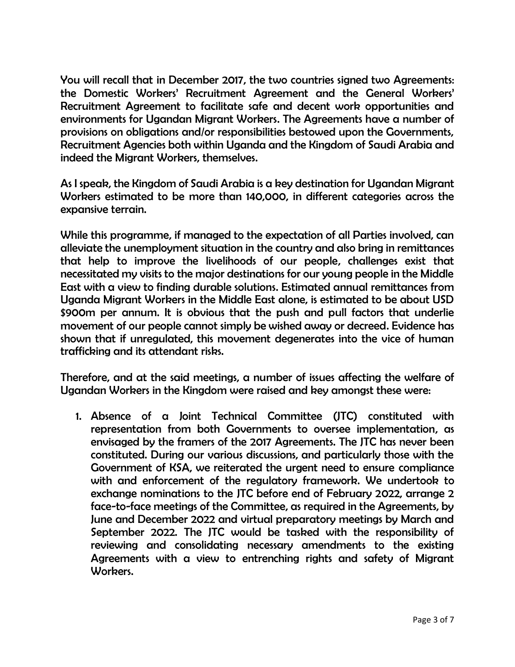You will recall that in December 2017, the two countries signed two Agreements: the Domestic Workers' Recruitment Agreement and the General Workers' Recruitment Agreement to facilitate safe and decent work opportunities and environments for Ugandan Migrant Workers. The Agreements have a number of provisions on obligations and/or responsibilities bestowed upon the Governments, Recruitment Agencies both within Uganda and the Kingdom of Saudi Arabia and indeed the Migrant Workers, themselves.

As I speak, the Kingdom of Saudi Arabia is a key destination for Ugandan Migrant Workers estimated to be more than 140,000, in different categories across the expansive terrain.

While this programme, if managed to the expectation of all Parties involved, can alleviate the unemployment situation in the country and also bring in remittances that help to improve the livelihoods of our people, challenges exist that necessitated my visits to the major destinations for our young people in the Middle East with a view to finding durable solutions. Estimated annual remittances from Uganda Migrant Workers in the Middle East alone, is estimated to be about USD \$900m per annum. It is obvious that the push and pull factors that underlie movement of our people cannot simply be wished away or decreed. Evidence has shown that if unregulated, this movement degenerates into the vice of human trafficking and its attendant risks.

Therefore, and at the said meetings, a number of issues affecting the welfare of Ugandan Workers in the Kingdom were raised and key amongst these were:

1. Absence of a Joint Technical Committee (JTC) constituted with representation from both Governments to oversee implementation, as envisaged by the framers of the 2017 Agreements. The JTC has never been constituted. During our various discussions, and particularly those with the Government of KSA, we reiterated the urgent need to ensure compliance with and enforcement of the regulatory framework. We undertook to exchange nominations to the JTC before end of February 2022, arrange 2 face-to-face meetings of the Committee, as required in the Agreements, by June and December 2022 and virtual preparatory meetings by March and September 2022. The JTC would be tasked with the responsibility of reviewing and consolidating necessary amendments to the existing Agreements with a view to entrenching rights and safety of Migrant Workers.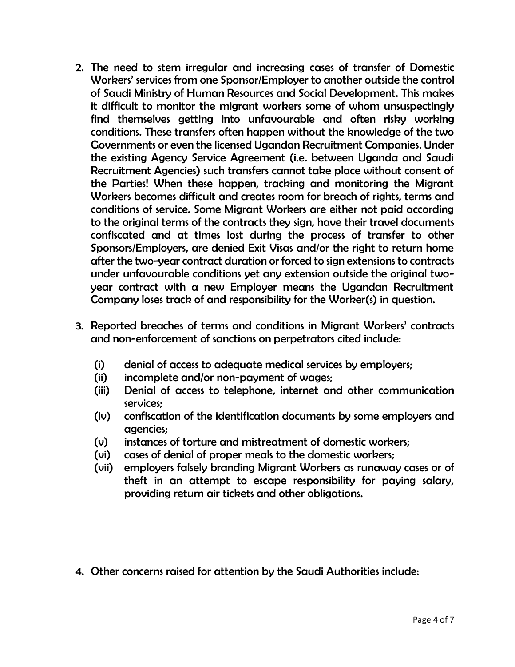- 2. The need to stem irregular and increasing cases of transfer of Domestic Workers' services from one Sponsor/Employer to another outside the control of Saudi Ministry of Human Resources and Social Development. This makes it difficult to monitor the migrant workers some of whom unsuspectingly find themselves getting into unfavourable and often risky working conditions. These transfers often happen without the knowledge of the two Governments or even the licensed Ugandan Recruitment Companies. Under the existing Agency Service Agreement (i.e. between Uganda and Saudi Recruitment Agencies) such transfers cannot take place without consent of the Parties! When these happen, tracking and monitoring the Migrant Workers becomes difficult and creates room for breach of rights, terms and conditions of service. Some Migrant Workers are either not paid according to the original terms of the contracts they sign, have their travel documents confiscated and at times lost during the process of transfer to other Sponsors/Employers, are denied Exit Visas and/or the right to return home after the two-year contract duration or forced to sign extensions to contracts under unfavourable conditions yet any extension outside the original twoyear contract with a new Employer means the Ugandan Recruitment Company loses track of and responsibility for the Worker(s) in question.
- 3. Reported breaches of terms and conditions in Migrant Workers' contracts and non-enforcement of sanctions on perpetrators cited include:
	- (i) denial of access to adequate medical services by employers;
	- (ii) incomplete and/or non-payment of wages;
	- (iii) Denial of access to telephone, internet and other communication services;
	- (iv) confiscation of the identification documents by some employers and agencies;
	- (v) instances of torture and mistreatment of domestic workers;
	- (vi) cases of denial of proper meals to the domestic workers;
	- (vii) employers falsely branding Migrant Workers as runaway cases or of theft in an attempt to escape responsibility for paying salary, providing return air tickets and other obligations.
- 4. Other concerns raised for attention by the Saudi Authorities include: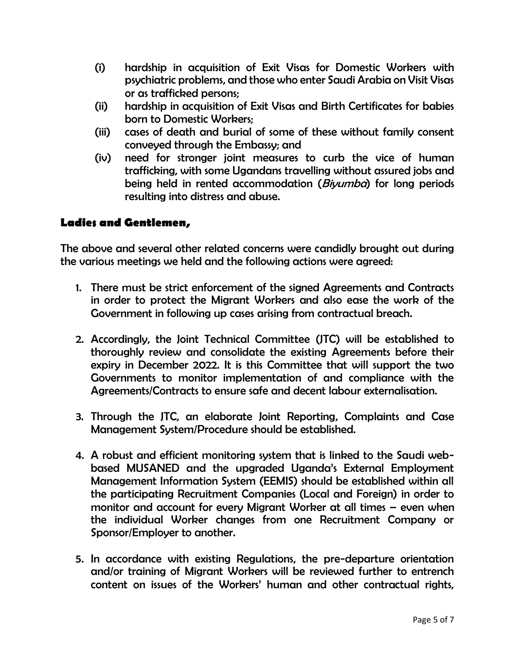- (i) hardship in acquisition of Exit Visas for Domestic Workers with psychiatric problems, and those who enter Saudi Arabia on Visit Visas or as trafficked persons;
- (ii) hardship in acquisition of Exit Visas and Birth Certificates for babies born to Domestic Workers;
- (iii) cases of death and burial of some of these without family consent conveyed through the Embassy; and
- (iv) need for stronger joint measures to curb the vice of human trafficking, with some Ugandans travelling without assured jobs and being held in rented accommodation (*Biyumba*) for long periods resulting into distress and abuse.

## **Ladies and Gentlemen,**

The above and several other related concerns were candidly brought out during the various meetings we held and the following actions were agreed:

- 1. There must be strict enforcement of the signed Agreements and Contracts in order to protect the Migrant Workers and also ease the work of the Government in following up cases arising from contractual breach.
- 2. Accordingly, the Joint Technical Committee (JTC) will be established to thoroughly review and consolidate the existing Agreements before their expiry in December 2022. It is this Committee that will support the two Governments to monitor implementation of and compliance with the Agreements/Contracts to ensure safe and decent labour externalisation.
- 3. Through the JTC, an elaborate Joint Reporting, Complaints and Case Management System/Procedure should be established.
- 4. A robust and efficient monitoring system that is linked to the Saudi webbased MUSANED and the upgraded Uganda's External Employment Management Information System (EEMIS) should be established within all the participating Recruitment Companies (Local and Foreign) in order to monitor and account for every Migrant Worker at all times – even when the individual Worker changes from one Recruitment Company or Sponsor/Employer to another.
- 5. In accordance with existing Regulations, the pre-departure orientation and/or training of Migrant Workers will be reviewed further to entrench content on issues of the Workers' human and other contractual rights,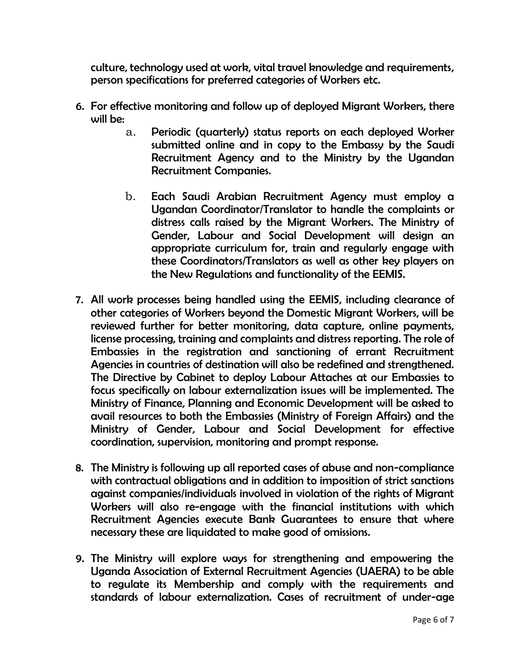culture, technology used at work, vital travel knowledge and requirements, person specifications for preferred categories of Workers etc.

- 6. For effective monitoring and follow up of deployed Migrant Workers, there will be:
	- a. Periodic (quarterly) status reports on each deployed Worker submitted online and in copy to the Embassy by the Saudi Recruitment Agency and to the Ministry by the Ugandan Recruitment Companies.
	- b. Each Saudi Arabian Recruitment Agency must employ a Ugandan Coordinator/Translator to handle the complaints or distress calls raised by the Migrant Workers. The Ministry of Gender, Labour and Social Development will design an appropriate curriculum for, train and regularly engage with these Coordinators/Translators as well as other key players on the New Regulations and functionality of the EEMIS.
- 7. All work processes being handled using the EEMIS, including clearance of other categories of Workers beyond the Domestic Migrant Workers, will be reviewed further for better monitoring, data capture, online payments, license processing, training and complaints and distress reporting. The role of Embassies in the registration and sanctioning of errant Recruitment Agencies in countries of destination will also be redefined and strengthened. The Directive by Cabinet to deploy Labour Attaches at our Embassies to focus specifically on labour externalization issues will be implemented. The Ministry of Finance, Planning and Economic Development will be asked to avail resources to both the Embassies (Ministry of Foreign Affairs) and the Ministry of Gender, Labour and Social Development for effective coordination, supervision, monitoring and prompt response.
- 8. The Ministry is following up all reported cases of abuse and non-compliance with contractual obligations and in addition to imposition of strict sanctions against companies/individuals involved in violation of the rights of Migrant Workers will also re-engage with the financial institutions with which Recruitment Agencies execute Bank Guarantees to ensure that where necessary these are liquidated to make good of omissions.
- 9. The Ministry will explore ways for strengthening and empowering the Uganda Association of External Recruitment Agencies (UAERA) to be able to regulate its Membership and comply with the requirements and standards of labour externalization. Cases of recruitment of under-age